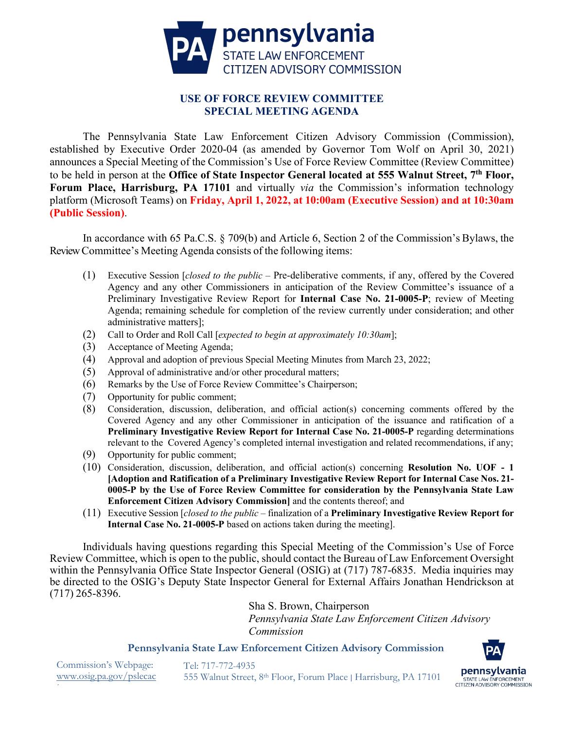

# **USE OF FORCE REVIEW COMMITTEE SPECIAL MEETING AGENDA**

The Pennsylvania State Law Enforcement Citizen Advisory Commission (Commission), established by Executive Order 2020-04 (as amended by Governor Tom Wolf on April 30, 2021) announces a Special Meeting of the Commission's Use of Force Review Committee (Review Committee) to be held in person at the **Office of State Inspector General located at 555 Walnut Street, 7th Floor, Forum Place, Harrisburg, PA 17101** and virtually *via* the Commission's information technology platform (Microsoft Teams) on **Friday, April 1, 2022, at 10:00am (Executive Session) and at 10:30am (Public Session)**.

In accordance with 65 Pa.C.S. § 709(b) and Article 6, Section 2 of the Commission's Bylaws, the Review Committee's Meeting Agenda consists of the following items:

- (1) Executive Session [*closed to the public* Pre-deliberative comments, if any, offered by the Covered Agency and any other Commissioners in anticipation of the Review Committee's issuance of a Preliminary Investigative Review Report for **Internal Case No. 21-0005-P**; review of Meeting Agenda; remaining schedule for completion of the review currently under consideration; and other administrative matters];
- (2) Call to Order and Roll Call [*expected to begin at approximately 10:30am*];
- (3) Acceptance of Meeting Agenda;
- (4) Approval and adoption of previous Special Meeting Minutes from March 23, 2022;
- (5) Approval of administrative and/or other procedural matters;
- (6) Remarks by the Use of Force Review Committee's Chairperson;
- (7) Opportunity for public comment;
- (8) Consideration, discussion, deliberation, and official action(s) concerning comments offered by the Covered Agency and any other Commissioner in anticipation of the issuance and ratification of a **Preliminary Investigative Review Report for Internal Case No. 21-0005-P** regarding determinations relevant to the Covered Agency's completed internal investigation and related recommendations, if any;
- (9) Opportunity for public comment;
- (10) Consideration, discussion, deliberation, and official action(s) concerning **Resolution No. UOF - 1 [Adoption and Ratification of a Preliminary Investigative Review Report for Internal Case Nos. 21- 0005-P by the Use of Force Review Committee for consideration by the Pennsylvania State Law Enforcement Citizen Advisory Commission]** and the contents thereof; and
- (11) Executive Session [*closed to the public* finalization of a **Preliminary Investigative Review Report for Internal Case No. 21-0005-P** based on actions taken during the meeting].

Individuals having questions regarding this Special Meeting of the Commission's Use of Force Review Committee, which is open to the public, should contact the Bureau of Law Enforcement Oversight within the Pennsylvania Office State Inspector General (OSIG) at (717) 787-6835. Media inquiries may be directed to the OSIG's Deputy State Inspector General for External Affairs Jonathan Hendrickson at (717) 265-8396.

> Sha S. Brown, Chairperson *Pennsylvania State Law Enforcement Citizen Advisory Commission*

**Pennsylvania State Law Enforcement Citizen Advisory Commission**

pennsylvania STATE LAW ENFORCEMENT CITIZEN ADVISORY COMMISSION

Commission's Webpage: [www.osig.pa.gov/pslecac](http://www.osig.pa.gov/pslecac)  Tel: 717-772-4935 555 Walnut Street, 8th Floor, Forum Place | Harrisburg, PA 17101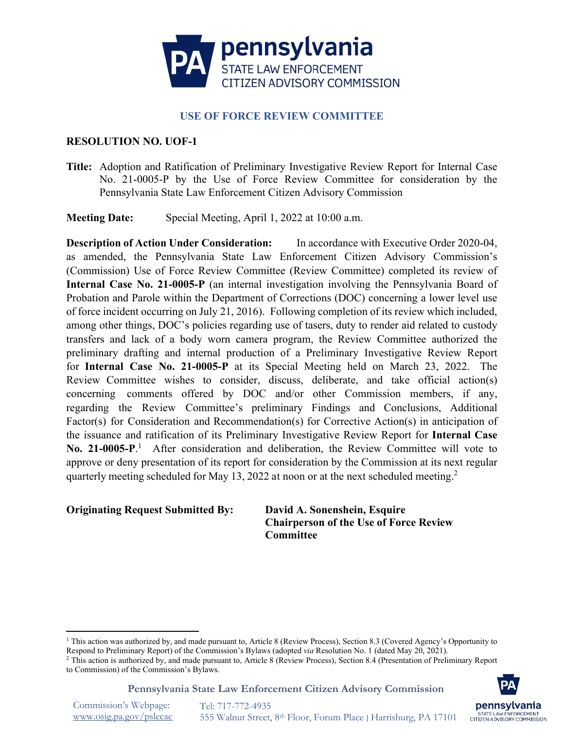

# **USE OF FORCE REVIEW COMMITTEE**

## **RESOLUTION NO. UOF-1**

**Title:** Adoption and Ratification of Preliminary Investigative Review Report for Internal Case No. 21-0005-P by the Use of Force Review Committee for consideration by the Pennsylvania State Law Enforcement Citizen Advisory Commission

**Meeting Date:** Special Meeting, April 1, 2022 at 10:00 a.m.

**Description of Action Under Consideration:** In accordance with Executive Order 2020-04, as amended, the Pennsylvania State Law Enforcement Citizen Advisory Commission's (Commission) Use of Force Review Committee (Review Committee) completed its review of **Internal Case No. 21-0005-P** (an internal investigation involving the Pennsylvania Board of Probation and Parole within the Department of Corrections (DOC) concerning a lower level use of force incident occurring on July 21, 2016). Following completion of its review which included, among other things, DOC's policies regarding use of tasers, duty to render aid related to custody transfers and lack of a body worn camera program, the Review Committee authorized the preliminary drafting and internal production of a Preliminary Investigative Review Report for **Internal Case No. 21-0005-P** at its Special Meeting held on March 23, 2022. The Review Committee wishes to consider, discuss, deliberate, and take official action(s) concerning comments offered by DOC and/or other Commission members, if any, regarding the Review Committee's preliminary Findings and Conclusions, Additional Factor(s) for Consideration and Recommendation(s) for Corrective Action(s) in anticipation of the issuance and ratification of its Preliminary Investigative Review Report for **Internal Case**  No. 2[1](#page-1-0)-0005-P.<sup>1</sup> After consideration and deliberation, the Review Committee will vote to approve or deny presentation of its report for consideration by the Commission at its next regular quarterly meeting scheduled for May 13, [2](#page-1-1)022 at noon or at the next scheduled meeting.<sup>2</sup>

## **Originating Request Submitted By: David A. Sonenshein, Esquire**

**Chairperson of the Use of Force Review Committee**

**Pennsylvania State Law Enforcement Citizen Advisory Commission**



Commission's Webpage: [www.osig.pa.gov/pslecac](http://www.osig.pa.gov/pslecac) 

<span id="page-1-0"></span><sup>&</sup>lt;sup>1</sup> This action was authorized by, and made pursuant to, Article 8 (Review Process), Section 8.3 (Covered Agency's Opportunity to Respond to Preliminary Report) of the Commission's Bylaws (adopted *via* Resolution No. 1 (dated May 20, 2021).

<span id="page-1-1"></span><sup>&</sup>lt;sup>2</sup> This action is authorized by, and made pursuant to, Article 8 (Review Process), Section 8.4 (Presentation of Preliminary Report to Commission) of the Commission's Bylaws.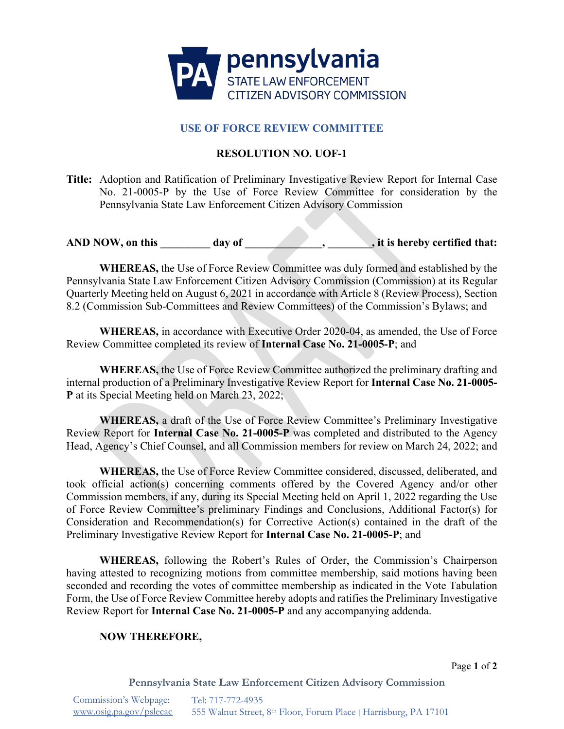

# **USE OF FORCE REVIEW COMMITTEE**

# **RESOLUTION NO. UOF-1**

**Title:** Adoption and Ratification of Preliminary Investigative Review Report for Internal Case No. 21-0005-P by the Use of Force Review Committee for consideration by the Pennsylvania State Law Enforcement Citizen Advisory Commission

AND NOW, on this \_\_\_\_\_\_\_\_ day of \_\_\_\_\_\_\_\_\_\_\_\_\_\_\_\_, it is hereby certified that:

**WHEREAS,** the Use of Force Review Committee was duly formed and established by the Pennsylvania State Law Enforcement Citizen Advisory Commission (Commission) at its Regular Quarterly Meeting held on August 6, 2021 in accordance with Article 8 (Review Process), Section 8.2 (Commission Sub-Committees and Review Committees) of the Commission's Bylaws; and

**WHEREAS,** in accordance with Executive Order 2020-04, as amended, the Use of Force Review Committee completed its review of **Internal Case No. 21-0005-P**; and

**WHEREAS,** the Use of Force Review Committee authorized the preliminary drafting and internal production of a Preliminary Investigative Review Report for **Internal Case No. 21-0005- P** at its Special Meeting held on March 23, 2022;

**WHEREAS,** a draft of the Use of Force Review Committee's Preliminary Investigative Review Report for **Internal Case No. 21-0005-P** was completed and distributed to the Agency Head, Agency's Chief Counsel, and all Commission members for review on March 24, 2022; and

**WHEREAS,** the Use of Force Review Committee considered, discussed, deliberated, and took official action(s) concerning comments offered by the Covered Agency and/or other Commission members, if any, during its Special Meeting held on April 1, 2022 regarding the Use of Force Review Committee's preliminary Findings and Conclusions, Additional Factor(s) for Consideration and Recommendation(s) for Corrective Action(s) contained in the draft of the Preliminary Investigative Review Report for **Internal Case No. 21-0005-P**; and

**WHEREAS,** following the Robert's Rules of Order, the Commission's Chairperson having attested to recognizing motions from committee membership, said motions having been seconded and recording the votes of committee membership as indicated in the Vote Tabulation Form, the Use of Force Review Committee hereby adopts and ratifies the Preliminary Investigative Review Report for **Internal Case No. 21-0005-P** and any accompanying addenda.

### **NOW THEREFORE,**

Page **1** of **2**

**Pennsylvania State Law Enforcement Citizen Advisory Commission**